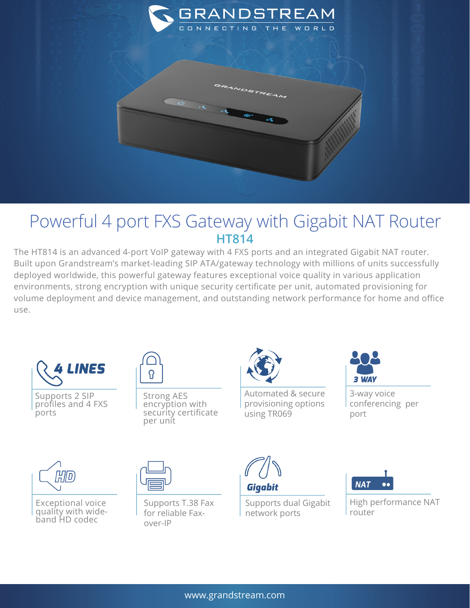

## Powerful 4 port FXS Gateway with Gigabit NAT Router **HT814**

The HT814 is an advanced 4-port VoIP gateway with 4 FXS ports and an integrated Gigabit NAT router. Built upon Grandstream's market-leading SIP ATA/gateway technology with millions of units successfully deployed worldwide, this powerful gateway features exceptional voice quality in various application environments, strong encryption with unique security certificate per unit, automated provisioning for volume deployment and device management, and outstanding network performance for home and office use.



Supports 2 SIP profiles and 4 FXS ports



Strong AES encryption with security certificate per unit



Automated & secure provisioning options using TR069



3-way voice conferencing per port



Exceptional voice quality with wideband HD codec



Supports T.38 Fax for reliable Faxover-IP



Supports dual Gigabit network ports



High performance NAT router